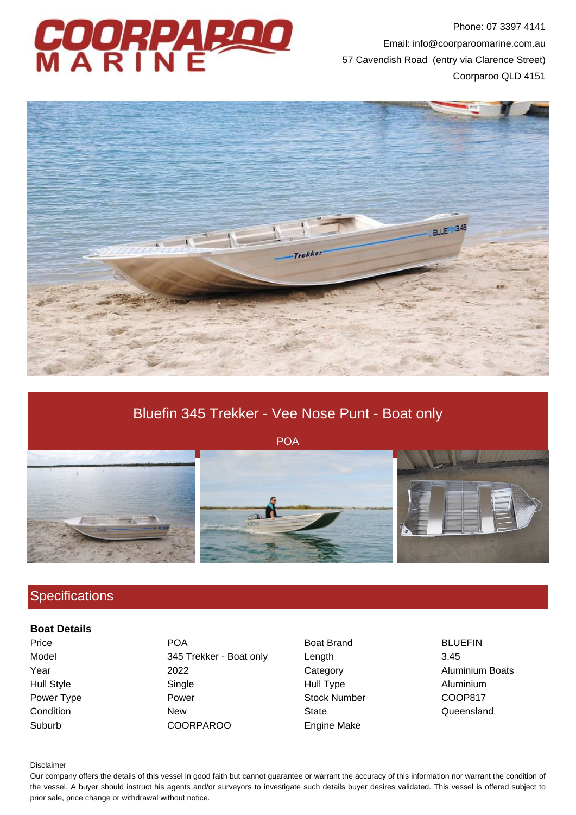

Phone: 07 3397 4141 Email: info@coorparoomarine.com.au 57 Cavendish Road (entry via Clarence Street) Coorparoo QLD 4151



# Bluefin 345 Trekker - Vee Nose Punt - Boat only

POA



## **Specifications**

#### **Boat Details**

Price **POA** Boat Brand BLUEFIN Model 345 Trekker - Boat only Length 3.45 Year 2022 2022 Category Caregory Aluminium Boats Hull Style Single Hull Type Aluminium Power Type **Power Stock Number** COOP817 Condition **New State** State Condition **Condition** Cueensland Suburb COORPAROO Engine Make

#### Disclaimer

Our company offers the details of this vessel in good faith but cannot guarantee or warrant the accuracy of this information nor warrant the condition of the vessel. A buyer should instruct his agents and/or surveyors to investigate such details buyer desires validated. This vessel is offered subject to prior sale, price change or withdrawal without notice.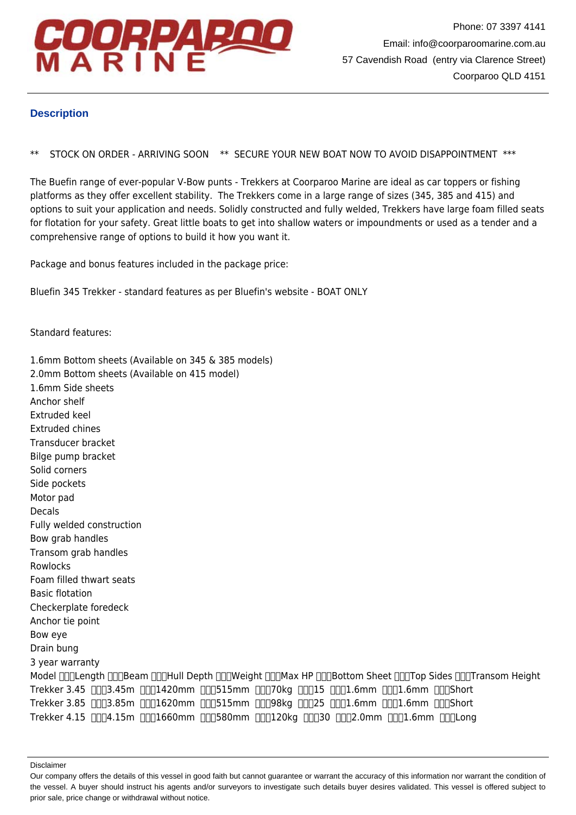

### **Description**

\*\* STOCK ON ORDER - ARRIVING SOON \*\* SECURE YOUR NEW BOAT NOW TO AVOID DISAPPOINTMENT \*\*\*

The Buefin range of ever-popular V-Bow punts - Trekkers at Coorparoo Marine are ideal as car toppers or fishing platforms as they offer excellent stability. The Trekkers come in a large range of sizes (345, 385 and 415) and options to suit your application and needs. Solidly constructed and fully welded, Trekkers have large foam filled seats for flotation for your safety. Great little boats to get into shallow waters or impoundments or used as a tender and a comprehensive range of options to build it how you want it.

Package and bonus features included in the package price:

Bluefin 345 Trekker - standard features as per Bluefin's website - BOAT ONLY

Standard features:

1.6mm Bottom sheets (Available on 345 & 385 models) 2.0mm Bottom sheets (Available on 415 model) 1.6mm Side sheets Anchor shelf Extruded keel Extruded chines Transducer bracket Bilge pump bracket Solid corners Side pockets Motor pad Decals Fully welded construction Bow grab handles Transom grab handles Rowlocks Foam filled thwart seats Basic flotation Checkerplate foredeck Anchor tie point Bow eye Drain bung 3 year warranty Model  $\prod_{\Pi}$ Length  $\prod_{\Pi}$ Beam  $\prod_{\Pi}$ Hull Depth  $\prod_{\Pi}$ Weight  $\prod_{\Pi}$ Max HP  $\prod_{\Pi}$ Bottom Sheet  $\prod_{\Pi}$ Trop Sides  $\prod_{\Pi}$ Transom Height Trekker 3.45 nnn3.45m nnn1420mm nnn515mm nnn70kg nnn15 nnn1.6mm nnn1.6mm nnnShort Trekker 3.85 [][[3.85m [][[1620mm [][[515mm [][[98kg [][[25 [][[1.6mm [][[1.6mm [][[Short Trekker 4.15 nnn4.15m nnn1660mm nnn580mm nnn120kg nnn30 nnn2.0mm nnn1.6mm nnnLong

Disclaimer

Our company offers the details of this vessel in good faith but cannot guarantee or warrant the accuracy of this information nor warrant the condition of the vessel. A buyer should instruct his agents and/or surveyors to investigate such details buyer desires validated. This vessel is offered subject to prior sale, price change or withdrawal without notice.